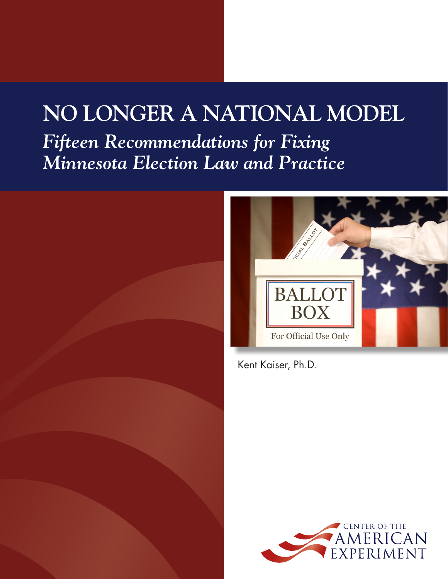# **NO LONGER A NATIONAL MODEL** *Fifteen Recommendations for Fixing Minnesota Election Law and Practice*



Kent Kaiser, Ph.D.

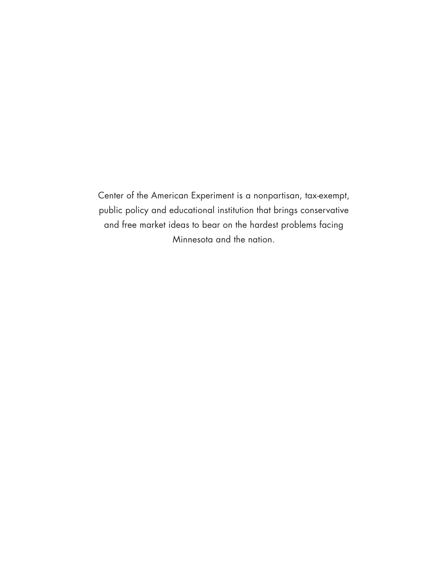Center of the American Experiment is a nonpartisan, tax-exempt, public policy and educational institution that brings conservative and free market ideas to bear on the hardest problems facing Minnesota and the nation.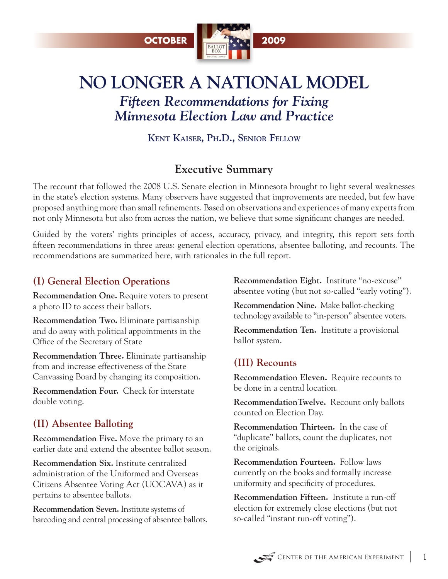

## **NO LONGER A NATIONAL MODEL** *Fifteen Recommendations for Fixing Minnesota Election Law and Practice*

**Kent Kaiser, Ph.D., Senior Fellow**

## **Executive Summary**

The recount that followed the 2008 U.S. Senate election in Minnesota brought to light several weaknesses in the state's election systems. Many observers have suggested that improvements are needed, but few have proposed anything more than small refinements. Based on observations and experiences of many experts from not only Minnesota but also from across the nation, we believe that some significant changes are needed.

Guided by the voters' rights principles of access, accuracy, privacy, and integrity, this report sets forth fifteen recommendations in three areas: general election operations, absentee balloting, and recounts. The recommendations are summarized here, with rationales in the full report.

## **(I) General Election Operations**

**Recommendation One.** Require voters to present a photo ID to access their ballots.

**Recommendation Two.** Eliminate partisanship and do away with political appointments in the Office of the Secretary of State

**Recommendation Three.** Eliminate partisanship from and increase effectiveness of the State Canvassing Board by changing its composition.

**Recommendation Four.** Check for interstate double voting.

## **(II) Absentee Balloting**

**Recommendation Five.** Move the primary to an earlier date and extend the absentee ballot season.

**Recommendation Six.** Institute centralized administration of the Uniformed and Overseas Citizens Absentee Voting Act (UOCAVA) as it pertains to absentee ballots.

**Recommendation Seven.** Institute systems of barcoding and central processing of absentee ballots. **Recommendation Eight.** Institute "no-excuse" absentee voting (but not so-called "early voting").

**Recommendation Nine.** Make ballot-checking technology available to "in-person" absentee voters.

**Recommendation Ten.** Institute a provisional ballot system.

## **(III) Recounts**

**Recommendation Eleven.** Require recounts to be done in a central location.

**RecommendationTwelve.** Recount only ballots counted on Election Day.

**Recommendation Thirteen.** In the case of "duplicate" ballots, count the duplicates, not the originals.

**Recommendation Fourteen.** Follow laws currently on the books and formally increase uniformity and specificity of procedures.

**Recommendation Fifteen.** Institute a run-off election for extremely close elections (but not so-called "instant run-off voting").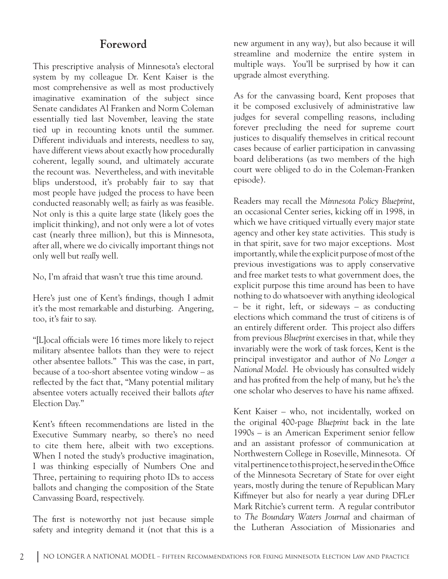### **Foreword**

This prescriptive analysis of Minnesota's electoral system by my colleague Dr. Kent Kaiser is the most comprehensive as well as most productively imaginative examination of the subject since Senate candidates Al Franken and Norm Coleman essentially tied last November, leaving the state tied up in recounting knots until the summer. Different individuals and interests, needless to say, have different views about exactly how procedurally coherent, legally sound, and ultimately accurate the recount was. Nevertheless, and with inevitable blips understood, it's probably fair to say that most people have judged the process to have been conducted reasonably well; as fairly as was feasible. Not only is this a quite large state (likely goes the implicit thinking), and not only were a lot of votes cast (nearly three million), but this is Minnesota, after all, where we do civically important things not only well but *really* well.

No, I'm afraid that wasn't true this time around.

Here's just one of Kent's findings, though I admit it's the most remarkable and disturbing. Angering, too, it's fair to say.

"[L]ocal officials were 16 times more likely to reject military absentee ballots than they were to reject other absentee ballots." This was the case, in part, because of a too-short absentee voting window – as reflected by the fact that, "Many potential military absentee voters actually received their ballots *after*  Election Day."

Kent's fifteen recommendations are listed in the Executive Summary nearby, so there's no need to cite them here, albeit with two exceptions. When I noted the study's productive imagination, I was thinking especially of Numbers One and Three, pertaining to requiring photo IDs to access ballots and changing the composition of the State Canvassing Board, respectively.

The first is noteworthy not just because simple safety and integrity demand it (not that this is a new argument in any way), but also because it will streamline and modernize the entire system in multiple ways. You'll be surprised by how it can upgrade almost everything.

As for the canvassing board, Kent proposes that it be composed exclusively of administrative law judges for several compelling reasons, including forever precluding the need for supreme court justices to disqualify themselves in critical recount cases because of earlier participation in canvassing board deliberations (as two members of the high court were obliged to do in the Coleman-Franken episode).

Readers may recall the *Minnesota Policy Blueprint*, an occasional Center series, kicking off in 1998, in which we have critiqued virtually every major state agency and other key state activities. This study is in that spirit, save for two major exceptions. Most importantly, while the explicit purpose of most of the previous investigations was to apply conservative and free market tests to what government does, the explicit purpose this time around has been to have nothing to do whatsoever with anything ideological – be it right, left, or sideways – as conducting elections which command the trust of citizens is of an entirely different order. This project also differs from previous *Blueprint* exercises in that, while they invariably were the work of task forces, Kent is the principal investigator and author of *No Longer a National Model*. He obviously has consulted widely and has profited from the help of many, but he's the one scholar who deserves to have his name affixed.

Kent Kaiser – who, not incidentally, worked on the original 400-page *Blueprint* back in the late 1990s – is an American Experiment senior fellow and an assistant professor of communication at Northwestern College in Roseville, Minnesota. Of vital pertinence to this project, he served in the Office of the Minnesota Secretary of State for over eight years, mostly during the tenure of Republican Mary Kiffmeyer but also for nearly a year during DFLer Mark Ritchie's current term. A regular contributor to *The Boundary Waters Journal* and chairman of the Lutheran Association of Missionaries and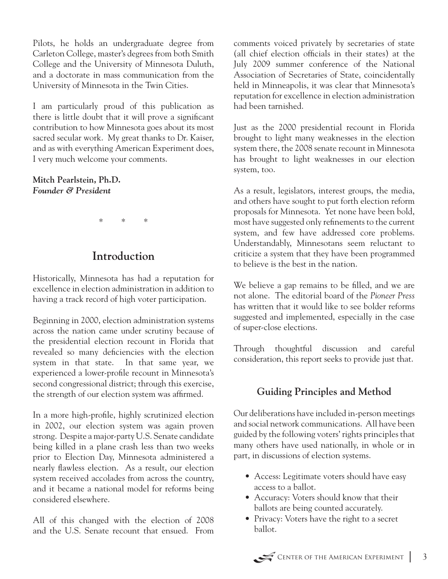Pilots, he holds an undergraduate degree from Carleton College, master's degrees from both Smith College and the University of Minnesota Duluth, and a doctorate in mass communication from the University of Minnesota in the Twin Cities.

I am particularly proud of this publication as there is little doubt that it will prove a significant contribution to how Minnesota goes about its most sacred secular work. My great thanks to Dr. Kaiser, and as with everything American Experiment does, I very much welcome your comments.

**Mitch Pearlstein, Ph.D.** *Founder & President*

\* \* \*

## **Introduction**

Historically, Minnesota has had a reputation for excellence in election administration in addition to having a track record of high voter participation.

Beginning in 2000, election administration systems across the nation came under scrutiny because of the presidential election recount in Florida that revealed so many deficiencies with the election system in that state. In that same year, we experienced a lower-profile recount in Minnesota's second congressional district; through this exercise, the strength of our election system was affirmed.

In a more high-profile, highly scrutinized election in 2002, our election system was again proven strong. Despite a major-party U.S. Senate candidate being killed in a plane crash less than two weeks prior to Election Day, Minnesota administered a nearly flawless election. As a result, our election system received accolades from across the country, and it became a national model for reforms being considered elsewhere.

All of this changed with the election of 2008 and the U.S. Senate recount that ensued. From comments voiced privately by secretaries of state (all chief election officials in their states) at the July 2009 summer conference of the National Association of Secretaries of State, coincidentally held in Minneapolis, it was clear that Minnesota's reputation for excellence in election administration had been tarnished.

Just as the 2000 presidential recount in Florida brought to light many weaknesses in the election system there, the 2008 senate recount in Minnesota has brought to light weaknesses in our election system, too.

As a result, legislators, interest groups, the media, and others have sought to put forth election reform proposals for Minnesota. Yet none have been bold, most have suggested only refinements to the current system, and few have addressed core problems. Understandably, Minnesotans seem reluctant to criticize a system that they have been programmed to believe is the best in the nation.

We believe a gap remains to be filled, and we are not alone. The editorial board of the *Pioneer Press*  has written that it would like to see bolder reforms suggested and implemented, especially in the case of super-close elections.

Through thoughtful discussion and careful consideration, this report seeks to provide just that.

#### **Guiding Principles and Method**

Our deliberations have included in-person meetings and social network communications. All have been guided by the following voters' rights principles that many others have used nationally, in whole or in part, in discussions of election systems.

- Access: Legitimate voters should have easy access to a ballot.
- Accuracy: Voters should know that their ballots are being counted accurately.
- Privacy: Voters have the right to a secret ballot.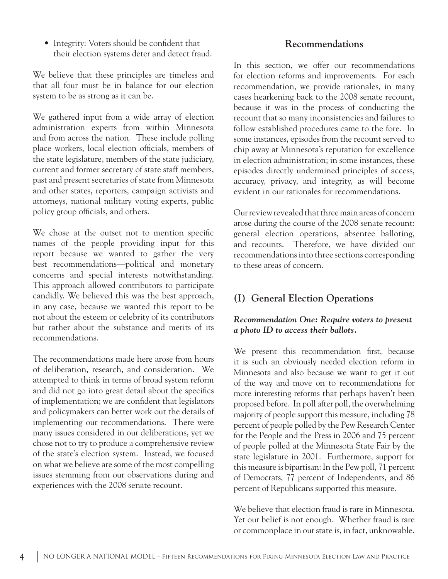• Integrity: Voters should be confident that their election systems deter and detect fraud.

We believe that these principles are timeless and that all four must be in balance for our election system to be as strong as it can be.

We gathered input from a wide array of election administration experts from within Minnesota and from across the nation. These include polling place workers, local election officials, members of the state legislature, members of the state judiciary, current and former secretary of state staff members, past and present secretaries of state from Minnesota and other states, reporters, campaign activists and attorneys, national military voting experts, public policy group officials, and others.

We chose at the outset not to mention specific names of the people providing input for this report because we wanted to gather the very best recommendations—political and monetary concerns and special interests notwithstanding. This approach allowed contributors to participate candidly. We believed this was the best approach, in any case, because we wanted this report to be not about the esteem or celebrity of its contributors but rather about the substance and merits of its recommendations.

The recommendations made here arose from hours of deliberation, research, and consideration. We attempted to think in terms of broad system reform and did not go into great detail about the specifics of implementation; we are confident that legislators and policymakers can better work out the details of implementing our recommendations. There were many issues considered in our deliberations, yet we chose not to try to produce a comprehensive review of the state's election system. Instead, we focused on what we believe are some of the most compelling issues stemming from our observations during and experiences with the 2008 senate recount.

#### **Recommendations**

In this section, we offer our recommendations for election reforms and improvements. For each recommendation, we provide rationales, in many cases hearkening back to the 2008 senate recount, because it was in the process of conducting the recount that so many inconsistencies and failures to follow established procedures came to the fore. In some instances, episodes from the recount served to chip away at Minnesota's reputation for excellence in election administration; in some instances, these episodes directly undermined principles of access, accuracy, privacy, and integrity, as will become evident in our rationales for recommendations.

Our review revealed that three main areas of concern arose during the course of the 2008 senate recount: general election operations, absentee balloting, and recounts. Therefore, we have divided our recommendations into three sections corresponding to these areas of concern.

#### **(I) General Election Operations**

#### *Recommendation One: Require voters to present a photo ID to access their ballots.*

We present this recommendation first, because it is such an obviously needed election reform in Minnesota and also because we want to get it out of the way and move on to recommendations for more interesting reforms that perhaps haven't been proposed before. In poll after poll, the overwhelming majority of people support this measure, including 78 percent of people polled by the Pew Research Center for the People and the Press in 2006 and 75 percent of people polled at the Minnesota State Fair by the state legislature in 2001. Furthermore, support for this measure is bipartisan: In the Pew poll, 71 percent of Democrats, 77 percent of Independents, and 86 percent of Republicans supported this measure.

We believe that election fraud is rare in Minnesota. Yet our belief is not enough. Whether fraud is rare or commonplace in our state is, in fact, unknowable.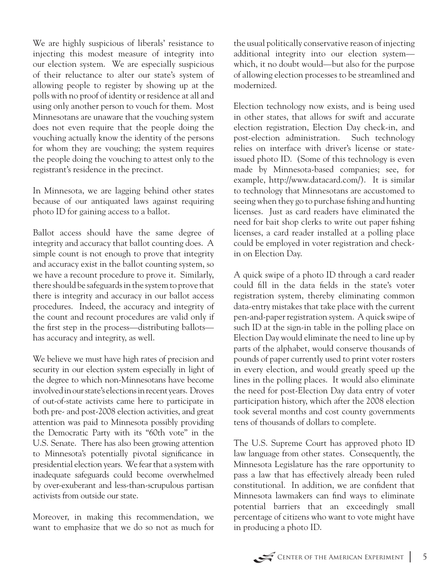We are highly suspicious of liberals' resistance to injecting this modest measure of integrity into our election system. We are especially suspicious of their reluctance to alter our state's system of allowing people to register by showing up at the polls with no proof of identity or residence at all and using only another person to vouch for them. Most Minnesotans are unaware that the vouching system does not even require that the people doing the vouching actually know the identity of the persons for whom they are vouching; the system requires the people doing the vouching to attest only to the registrant's residence in the precinct.

In Minnesota, we are lagging behind other states because of our antiquated laws against requiring photo ID for gaining access to a ballot.

Ballot access should have the same degree of integrity and accuracy that ballot counting does. A simple count is not enough to prove that integrity and accuracy exist in the ballot counting system, so we have a recount procedure to prove it. Similarly, there should be safeguards in the system to prove that there is integrity and accuracy in our ballot access procedures. Indeed, the accuracy and integrity of the count and recount procedures are valid only if the first step in the process—distributing ballots has accuracy and integrity, as well.

We believe we must have high rates of precision and security in our election system especially in light of the degree to which non-Minnesotans have become involved in our state's elections in recent years. Droves of out-of-state activists came here to participate in both pre- and post-2008 election activities, and great attention was paid to Minnesota possibly providing the Democratic Party with its "60th vote" in the U.S. Senate. There has also been growing attention to Minnesota's potentially pivotal significance in presidential election years. We fear that a system with inadequate safeguards could become overwhelmed by over-exuberant and less-than-scrupulous partisan activists from outside our state.

Moreover, in making this recommendation, we want to emphasize that we do so not as much for the usual politically conservative reason of injecting additional integrity into our election system which, it no doubt would—but also for the purpose of allowing election processes to be streamlined and modernized.

Election technology now exists, and is being used in other states, that allows for swift and accurate election registration, Election Day check-in, and post-election administration. Such technology relies on interface with driver's license or stateissued photo ID. (Some of this technology is even made by Minnesota-based companies; see, for example, http://www.datacard.com/). It is similar to technology that Minnesotans are accustomed to seeing when they go to purchase fishing and hunting licenses. Just as card readers have eliminated the need for bait shop clerks to write out paper fishing licenses, a card reader installed at a polling place could be employed in voter registration and checkin on Election Day.

A quick swipe of a photo ID through a card reader could fill in the data fields in the state's voter registration system, thereby eliminating common data-entry mistakes that take place with the current pen-and-paper registration system. A quick swipe of such ID at the sign-in table in the polling place on Election Day would eliminate the need to line up by parts of the alphabet, would conserve thousands of pounds of paper currently used to print voter rosters in every election, and would greatly speed up the lines in the polling places. It would also eliminate the need for post-Election Day data entry of voter participation history, which after the 2008 election took several months and cost county governments tens of thousands of dollars to complete.

The U.S. Supreme Court has approved photo ID law language from other states. Consequently, the Minnesota Legislature has the rare opportunity to pass a law that has effectively already been ruled constitutional. In addition, we are confident that Minnesota lawmakers can find ways to eliminate potential barriers that an exceedingly small percentage of citizens who want to vote might have in producing a photo ID.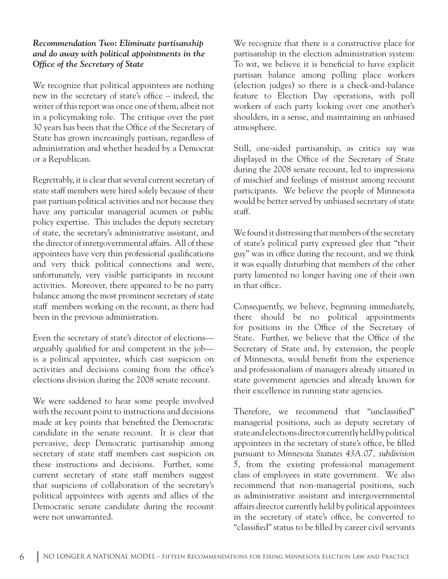#### *Recommendation Two: Eliminate partisanship and do away with political appointments in the Office of the Secretary of State*

We recognize that political appointees are nothing new in the secretary of state's office – indeed, the writer of this report was once one of them, albeit not in a policymaking role. The critique over the past 30 years has been that the Office of the Secretary of State has grown increasingly partisan, regardless of administration and whether headed by a Democrat or a Republican.

Regrettably, it is clear that several current secretary of state staff members were hired solely because of their past partisan political activities and not because they have any particular managerial acumen or public policy expertise. This includes the deputy secretary of state, the secretary's administrative assistant, and the director of intergovernmental affairs. All of these appointees have very thin professional qualifications and very thick political connections and were, unfortunately, very visible participants in recount activities. Moreover, there appeared to be no party balance among the most prominent secretary of state staff members working on the recount, as there had been in the previous administration.

Even the secretary of state's director of elections arguably qualified for and competent in the job is a political appointee, which cast suspicion on activities and decisions coming from the office's elections division during the 2008 senate recount.

We were saddened to hear some people involved with the recount point to instructions and decisions made at key points that benefited the Democratic candidate in the senate recount. It is clear that pervasive, deep Democratic partisanship among secretary of state staff members cast suspicion on these instructions and decisions. Further, some current secretary of state staff members suggest that suspicions of collaboration of the secretary's political appointees with agents and allies of the Democratic senate candidate during the recount were not unwarranted.

We recognize that there is a constructive place for partisanship in the election administration system: To wit, we believe it is beneficial to have explicit partisan balance among polling place workers (election judges) so there is a check-and-balance feature to Election Day operations, with poll workers of each party looking over one another's shoulders, in a sense, and maintaining an unbiased atmosphere.

Still, one-sided partisanship, as critics say was displayed in the Office of the Secretary of State during the 2008 senate recount, led to impressions of mischief and feelings of mistrust among recount participants. We believe the people of Minnesota would be better served by unbiased secretary of state staff.

We found it distressing that members of the secretary of state's political party expressed glee that "their guy" was in office during the recount, and we think it was equally disturbing that members of the other party lamented no longer having one of their own in that office.

Consequently, we believe, beginning immediately, there should be no political appointments for positions in the Office of the Secretary of State. Further, we believe that the Office of the Secretary of State and, by extension, the people of Minnesota, would benefit from the experience and professionalism of managers already situated in state government agencies and already known for their excellence in running state agencies.

Therefore, we recommend that "unclassified" managerial positions, such as deputy secretary of state and elections director currently held by political appointees in the secretary of state's office, be filled pursuant to *Minnesota Statutes 43A.07, subdivision 5*, from the existing professional management class of employees in state government. We also recommend that non-managerial positions, such as administrative assistant and intergovernmental affairs director currently held by political appointees in the secretary of state's office, be converted to "classified" status to be filled by career civil servants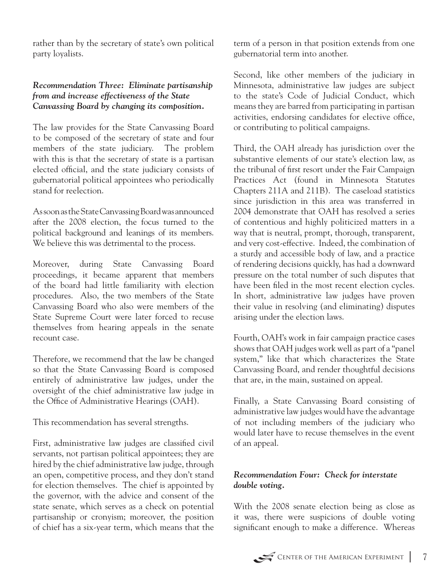rather than by the secretary of state's own political party loyalists.

#### *Recommendation Three: Eliminate partisanship from and increase effectiveness of the State Canvassing Board by changing its composition.*

The law provides for the State Canvassing Board to be composed of the secretary of state and four members of the state judiciary. The problem with this is that the secretary of state is a partisan elected official, and the state judiciary consists of gubernatorial political appointees who periodically stand for reelection.

As soon as the State Canvassing Board was announced after the 2008 election, the focus turned to the political background and leanings of its members. We believe this was detrimental to the process.

Moreover, during State Canvassing Board proceedings, it became apparent that members of the board had little familiarity with election procedures. Also, the two members of the State Canvassing Board who also were members of the State Supreme Court were later forced to recuse themselves from hearing appeals in the senate recount case.

Therefore, we recommend that the law be changed so that the State Canvassing Board is composed entirely of administrative law judges, under the oversight of the chief administrative law judge in the Office of Administrative Hearings (OAH).

This recommendation has several strengths.

First, administrative law judges are classified civil servants, not partisan political appointees; they are hired by the chief administrative law judge, through an open, competitive process, and they don't stand for election themselves. The chief is appointed by the governor, with the advice and consent of the state senate, which serves as a check on potential partisanship or cronyism; moreover, the position of chief has a six-year term, which means that the

term of a person in that position extends from one gubernatorial term into another.

Second, like other members of the judiciary in Minnesota, administrative law judges are subject to the state's Code of Judicial Conduct, which means they are barred from participating in partisan activities, endorsing candidates for elective office, or contributing to political campaigns.

Third, the OAH already has jurisdiction over the substantive elements of our state's election law, as the tribunal of first resort under the Fair Campaign Practices Act (found in Minnesota Statutes Chapters 211A and 211B). The caseload statistics since jurisdiction in this area was transferred in 2004 demonstrate that OAH has resolved a series of contentious and highly politicized matters in a way that is neutral, prompt, thorough, transparent, and very cost-effective. Indeed, the combination of a sturdy and accessible body of law, and a practice of rendering decisions quickly, has had a downward pressure on the total number of such disputes that have been filed in the most recent election cycles. In short, administrative law judges have proven their value in resolving (and eliminating) disputes arising under the election laws.

Fourth, OAH's work in fair campaign practice cases shows that OAH judges work well as part of a "panel system," like that which characterizes the State Canvassing Board, and render thoughtful decisions that are, in the main, sustained on appeal.

Finally, a State Canvassing Board consisting of administrative law judges would have the advantage of not including members of the judiciary who would later have to recuse themselves in the event of an appeal.

#### *Recommendation Four: Check for interstate double voting.*

With the 2008 senate election being as close as it was, there were suspicions of double voting significant enough to make a difference. Whereas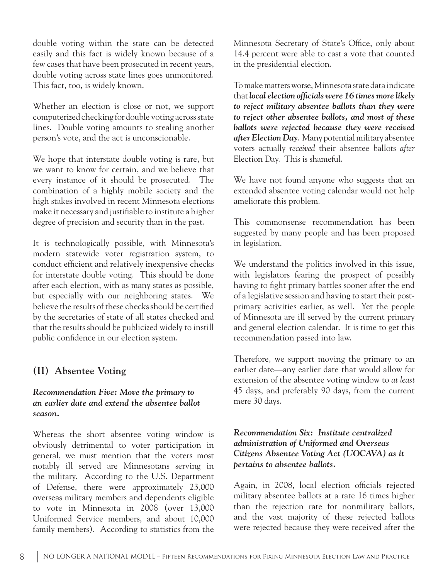double voting within the state can be detected easily and this fact is widely known because of a few cases that have been prosecuted in recent years, double voting across state lines goes unmonitored. This fact, too, is widely known.

Whether an election is close or not, we support computerized checking for double voting across state lines. Double voting amounts to stealing another person's vote, and the act is unconscionable.

We hope that interstate double voting is rare, but we want to know for certain, and we believe that every instance of it should be prosecuted. The combination of a highly mobile society and the high stakes involved in recent Minnesota elections make it necessary and justifiable to institute a higher degree of precision and security than in the past.

It is technologically possible, with Minnesota's modern statewide voter registration system, to conduct efficient and relatively inexpensive checks for interstate double voting. This should be done after each election, with as many states as possible, but especially with our neighboring states. We believe the results of these checks should be certified by the secretaries of state of all states checked and that the results should be publicized widely to instill public confidence in our election system.

#### **(II) Absentee Voting**

#### *Recommendation Five: Move the primary to an earlier date and extend the absentee ballot season.*

Whereas the short absentee voting window is obviously detrimental to voter participation in general, we must mention that the voters most notably ill served are Minnesotans serving in the military. According to the U.S. Department of Defense, there were approximately 23,000 overseas military members and dependents eligible to vote in Minnesota in 2008 (over 13,000 Uniformed Service members, and about 10,000 family members). According to statistics from the Minnesota Secretary of State's Office, only about 14.4 percent were able to cast a vote that counted in the presidential election.

To make matters worse, Minnesota state data indicate that *local election officials were 16 times more likely to reject military absentee ballots than they were to reject other absentee ballots, and most of these ballots were rejected because they were received after Election Day*. Many potential military absentee voters actually *received* their absentee ballots *after*  Election Day. This is shameful.

We have not found anyone who suggests that an extended absentee voting calendar would not help ameliorate this problem.

This commonsense recommendation has been suggested by many people and has been proposed in legislation.

We understand the politics involved in this issue, with legislators fearing the prospect of possibly having to fight primary battles sooner after the end of a legislative session and having to start their postprimary activities earlier, as well. Yet the people of Minnesota are ill served by the current primary and general election calendar. It is time to get this recommendation passed into law.

Therefore, we support moving the primary to an earlier date—any earlier date that would allow for extension of the absentee voting window to *at least* 45 days, and preferably 90 days, from the current mere 30 days.

#### *Recommendation Six: Institute centralized administration of Uniformed and Overseas Citizens Absentee Voting Act (UOCAVA) as it pertains to absentee ballots.*

Again, in 2008, local election officials rejected military absentee ballots at a rate 16 times higher than the rejection rate for nonmilitary ballots, and the vast majority of these rejected ballots were rejected because they were received after the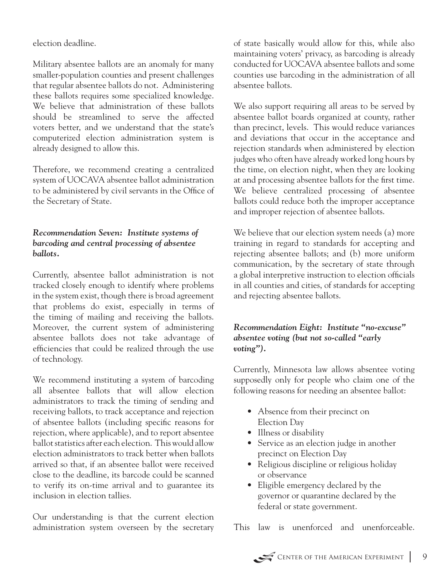election deadline.

Military absentee ballots are an anomaly for many smaller-population counties and present challenges that regular absentee ballots do not. Administering these ballots requires some specialized knowledge. We believe that administration of these ballots should be streamlined to serve the affected voters better, and we understand that the state's computerized election administration system is already designed to allow this.

Therefore, we recommend creating a centralized system of UOCAVA absentee ballot administration to be administered by civil servants in the Office of the Secretary of State.

#### *Recommendation Seven: Institute systems of barcoding and central processing of absentee ballots.*

Currently, absentee ballot administration is not tracked closely enough to identify where problems in the system exist, though there is broad agreement that problems do exist, especially in terms of the timing of mailing and receiving the ballots. Moreover, the current system of administering absentee ballots does not take advantage of efficiencies that could be realized through the use of technology.

We recommend instituting a system of barcoding all absentee ballots that will allow election administrators to track the timing of sending and receiving ballots, to track acceptance and rejection of absentee ballots (including specific reasons for rejection, where applicable), and to report absentee ballot statistics after each election. This would allow election administrators to track better when ballots arrived so that, if an absentee ballot were received close to the deadline, its barcode could be scanned to verify its on-time arrival and to guarantee its inclusion in election tallies.

Our understanding is that the current election administration system overseen by the secretary

of state basically would allow for this, while also maintaining voters' privacy, as barcoding is already conducted for UOCAVA absentee ballots and some counties use barcoding in the administration of all absentee ballots.

We also support requiring all areas to be served by absentee ballot boards organized at county, rather than precinct, levels. This would reduce variances and deviations that occur in the acceptance and rejection standards when administered by election judges who often have already worked long hours by the time, on election night, when they are looking at and processing absentee ballots for the first time. We believe centralized processing of absentee ballots could reduce both the improper acceptance and improper rejection of absentee ballots.

We believe that our election system needs (a) more training in regard to standards for accepting and rejecting absentee ballots; and (b) more uniform communication, by the secretary of state through a global interpretive instruction to election officials in all counties and cities, of standards for accepting and rejecting absentee ballots.

#### *Recommendation Eight: Institute "no-excuse" absentee voting (but not so-called "early voting").*

Currently, Minnesota law allows absentee voting supposedly only for people who claim one of the following reasons for needing an absentee ballot:

- Absence from their precinct on Election Day
- Illness or disability
- Service as an election judge in another precinct on Election Day
- Religious discipline or religious holiday or observance
- Eligible emergency declared by the governor or quarantine declared by the federal or state government.

This law is unenforced and unenforceable.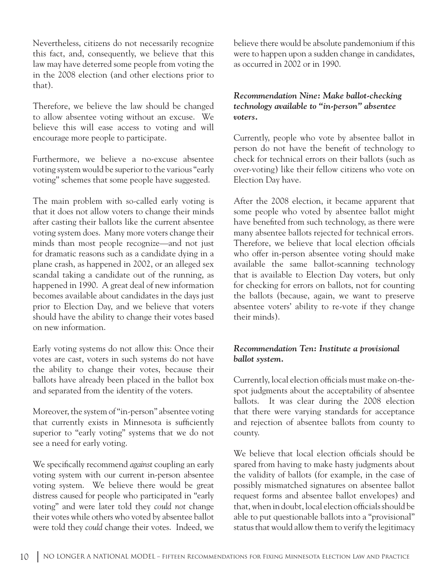Nevertheless, citizens do not necessarily recognize this fact, and, consequently, we believe that this law may have deterred some people from voting the in the 2008 election (and other elections prior to that).

Therefore, we believe the law should be changed to allow absentee voting without an excuse. believe this will ease access to voting and will encourage more people to participate.

Furthermore, we believe a no-excuse absentee voting system would be superior to the various "early voting" schemes that some people have suggested.

The main problem with so-called early voting is that it does not allow voters to change their minds after casting their ballots like the current absentee voting system does. Many more voters change their minds than most people recognize—and not just for dramatic reasons such as a candidate dying in a plane crash, as happened in 2002, or an alleged sex scandal taking a candidate out of the running, as happened in 1990. A great deal of new information becomes available about candidates in the days just prior to Election Day, and we believe that voters should have the ability to change their votes based on new information.

Early voting systems do not allow this: Once their votes are cast, voters in such systems do not have the ability to change their votes, because their ballots have already been placed in the ballot box and separated from the identity of the voters.

Moreover, the system of "in-person" absentee voting that currently exists in Minnesota is sufficiently superior to "early voting" systems that we do not see a need for early voting.

We specifically recommend *against* coupling an early voting system with our current in-person absentee voting system. We believe there would be great distress caused for people who participated in "early voting" and were later told they *could not* change their votes while others who voted by absentee ballot were told they *could* change their votes. Indeed, we

believe there would be absolute pandemonium if this were to happen upon a sudden change in candidates, as occurred in 2002 or in 1990.

#### *Recommendation Nine: Make ballot-checking technology available to "in-person" absentee voters.*

Currently, people who vote by absentee ballot in person do not have the benefit of technology to check for technical errors on their ballots (such as over-voting) like their fellow citizens who vote on Election Day have.

After the 2008 election, it became apparent that some people who voted by absentee ballot might have benefited from such technology, as there were many absentee ballots rejected for technical errors. Therefore, we believe that local election officials who offer in-person absentee voting should make available the same ballot-scanning technology that is available to Election Day voters, but only for checking for errors on ballots, not for counting the ballots (because, again, we want to preserve absentee voters' ability to re-vote if they change their minds).

#### *Recommendation Ten: Institute a provisional ballot system.*

Currently, local election officials must make on-thespot judgments about the acceptability of absentee ballots. It was clear during the 2008 election that there were varying standards for acceptance and rejection of absentee ballots from county to county.

We believe that local election officials should be spared from having to make hasty judgments about the validity of ballots (for example, in the case of possibly mismatched signatures on absentee ballot request forms and absentee ballot envelopes) and that, when in doubt, local election officials should be able to put questionable ballots into a "provisional" status that would allow them to verify the legitimacy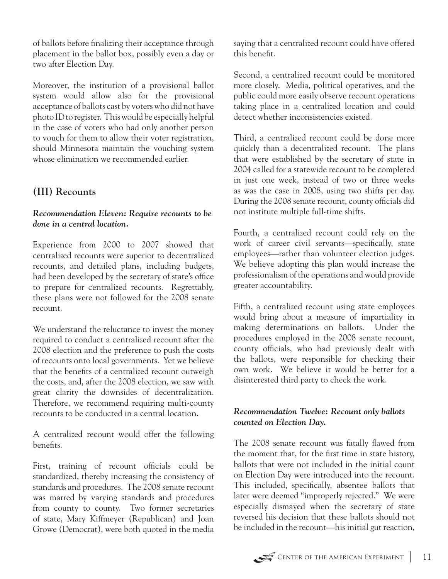of ballots before finalizing their acceptance through placement in the ballot box, possibly even a day or two after Election Day.

Moreover, the institution of a provisional ballot system would allow also for the provisional acceptance of ballots cast by voters who did not have photo ID to register. This would be especially helpful in the case of voters who had only another person to vouch for them to allow their voter registration, should Minnesota maintain the vouching system whose elimination we recommended earlier.

## **(III) Recounts**

#### *Recommendation Eleven: Require recounts to be done in a central location.*

Experience from 2000 to 2007 showed that centralized recounts were superior to decentralized recounts, and detailed plans, including budgets, had been developed by the secretary of state's office to prepare for centralized recounts. Regrettably, these plans were not followed for the 2008 senate recount.

We understand the reluctance to invest the money required to conduct a centralized recount after the 2008 election and the preference to push the costs of recounts onto local governments. Yet we believe that the benefits of a centralized recount outweigh the costs, and, after the 2008 election, we saw with great clarity the downsides of decentralization. Therefore, we recommend requiring multi-county recounts to be conducted in a central location.

A centralized recount would offer the following benefits.

First, training of recount officials could be standardized, thereby increasing the consistency of standards and procedures. The 2008 senate recount was marred by varying standards and procedures from county to county. Two former secretaries of state, Mary Kiffmeyer (Republican) and Joan Growe (Democrat), were both quoted in the media

saying that a centralized recount could have offered this benefit.

Second, a centralized recount could be monitored more closely. Media, political operatives, and the public could more easily observe recount operations taking place in a centralized location and could detect whether inconsistencies existed.

Third, a centralized recount could be done more quickly than a decentralized recount. The plans that were established by the secretary of state in 2004 called for a statewide recount to be completed in just one week, instead of two or three weeks as was the case in 2008, using two shifts per day. During the 2008 senate recount, county officials did not institute multiple full-time shifts.

Fourth, a centralized recount could rely on the work of career civil servants—specifically, state employees—rather than volunteer election judges. We believe adopting this plan would increase the professionalism of the operations and would provide greater accountability.

Fifth, a centralized recount using state employees would bring about a measure of impartiality in making determinations on ballots. Under the procedures employed in the 2008 senate recount, county officials, who had previously dealt with the ballots, were responsible for checking their own work. We believe it would be better for a disinterested third party to check the work.

#### *Recommendation Twelve: Recount only ballots counted on Election Day.*

The 2008 senate recount was fatally flawed from the moment that, for the first time in state history, ballots that were not included in the initial count on Election Day were introduced into the recount. This included, specifically, absentee ballots that later were deemed "improperly rejected." We were especially dismayed when the secretary of state reversed his decision that these ballots should not be included in the recount—his initial gut reaction,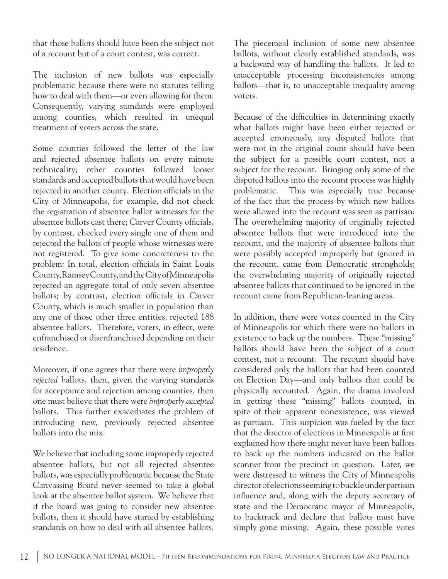that those ballots should have been the subject not of a recount but of a court contest, was correct.

The inclusion of new ballots was especially problematic because there were no statutes telling how to deal with them—or even allowing for them. Consequently, varying standards were employed among counties, which resulted in unequal treatment of voters across the state.

Some counties followed the letter of the law and rejected absentee ballots on every minute technicality; other counties followed looser standards and accepted ballots that would have been rejected in another county. Election officials in the City of Minneapolis, for example, did not check the registration of absentee ballot witnesses for the absentee ballots cast there; Carver County officials, by contrast, checked every single one of them and rejected the ballots of people whose witnesses were not registered. To give some concreteness to the problem: In total, election officials in Saint Louis County, Ramsey County, and the City of Minneapolis rejected an aggregate total of only seven absentee ballots; by contrast, election officials in Carver County, which is much smaller in population than any one of those other three entities, rejected 188 absentee ballots. Therefore, voters, in effect, were enfranchised or disenfranchised depending on their residence.

Moreover, if one agrees that there were *improperly rejected* ballots, then, given the varying standards for acceptance and rejection among counties, then one must believe that there were *improperly accepted* ballots. This further exacerbates the problem of introducing new, previously rejected absentee ballots into the mix.

We believe that including some improperly rejected absentee ballots, but not all rejected absentee ballots, was especially problematic because the State Canvassing Board never seemed to take a global look at the absentee ballot system. We believe that if the board was going to consider new absentee ballots, then it should have started by establishing standards on how to deal with all absentee ballots.

The piecemeal inclusion of some new absentee ballots, without clearly established standards, was a backward way of handling the ballots. It led to unacceptable processing inconsistencies among ballots—that is, to unacceptable inequality among voters.

Because of the difficulties in determining exactly what ballots might have been either rejected or accepted erroneously, any disputed ballots that were not in the original count should have been the subject for a possible court contest, not a subject for the recount. Bringing only some of the disputed ballots into the recount process was highly problematic. This was especially true because of the fact that the process by which new ballots were allowed into the recount was seen as partisan: The overwhelming majority of originally rejected absentee ballots that were introduced into the recount, and the majority of absentee ballots that were possibly accepted improperly but ignored in the recount, came from Democratic strongholds; the overwhelming majority of originally rejected absentee ballots that continued to be ignored in the recount came from Republican-leaning areas.

In addition, there were votes counted in the City of Minneapolis for which there were no ballots in existence to back up the numbers. These "missing" ballots should have been the subject of a court contest, not a recount. The recount should have considered only the ballots that had been counted on Election Day—and only ballots that could be physically recounted. Again, the drama involved in getting these "missing" ballots counted, in spite of their apparent nonexistence, was viewed as partisan. This suspicion was fueled by the fact that the director of elections in Minneapolis at first explained how there might never have been ballots to back up the numbers indicated on the ballot scanner from the precinct in question. Later, we were distressed to witness the City of Minneapolis director of elections seeming to buckle under partisan influence and, along with the deputy secretary of state and the Democratic mayor of Minneapolis, to backtrack and declare that ballots must have simply gone missing. Again, these possible votes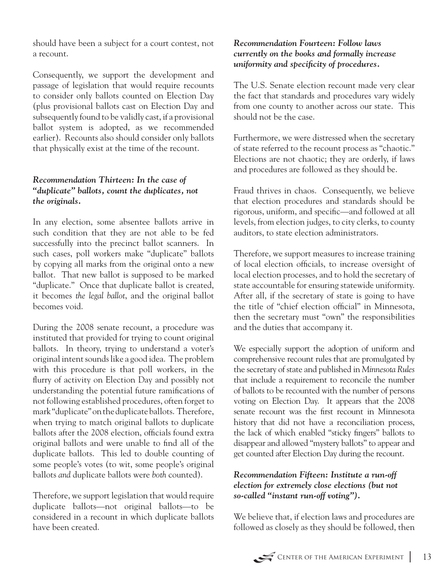should have been a subject for a court contest, not a recount.

Consequently, we support the development and passage of legislation that would require recounts to consider only ballots counted on Election Day (plus provisional ballots cast on Election Day and subsequently found to be validly cast, if a provisional ballot system is adopted, as we recommended earlier). Recounts also should consider only ballots that physically exist at the time of the recount.

#### *Recommendation Thirteen: In the case of "duplicate" ballots, count the duplicates, not the originals.*

In any election, some absentee ballots arrive in such condition that they are not able to be fed successfully into the precinct ballot scanners. In such cases, poll workers make "duplicate" ballots by copying all marks from the original onto a new ballot. That new ballot is supposed to be marked "duplicate." Once that duplicate ballot is created, it becomes *the legal ballot*, and the original ballot becomes void.

During the 2008 senate recount, a procedure was instituted that provided for trying to count original ballots. In theory, trying to understand a voter's original intent sounds like a good idea. The problem with this procedure is that poll workers, in the flurry of activity on Election Day and possibly not understanding the potential future ramifications of not following established procedures, often forget to mark "duplicate" on the duplicate ballots. Therefore, when trying to match original ballots to duplicate ballots after the 2008 election, officials found extra original ballots and were unable to find all of the duplicate ballots. This led to double counting of some people's votes (to wit, some people's original ballots *and* duplicate ballots were *both* counted).

Therefore, we support legislation that would require duplicate ballots—not original ballots—to be considered in a recount in which duplicate ballots have been created.

#### *Recommendation Fourteen: Follow laws currently on the books and formally increase uniformity and specificity of procedures.*

The U.S. Senate election recount made very clear the fact that standards and procedures vary widely from one county to another across our state. This should not be the case.

Furthermore, we were distressed when the secretary of state referred to the recount process as "chaotic." Elections are not chaotic; they are orderly, if laws and procedures are followed as they should be.

Fraud thrives in chaos. Consequently, we believe that election procedures and standards should be rigorous, uniform, and specific—and followed at all levels, from election judges, to city clerks, to county auditors, to state election administrators.

Therefore, we support measures to increase training of local election officials, to increase oversight of local election processes, and to hold the secretary of state accountable for ensuring statewide uniformity. After all, if the secretary of state is going to have the title of "chief election official" in Minnesota, then the secretary must "own" the responsibilities and the duties that accompany it.

We especially support the adoption of uniform and comprehensive recount rules that are promulgated by the secretary of state and published in *Minnesota Rules* that include a requirement to reconcile the number of ballots to be recounted with the number of persons voting on Election Day. It appears that the 2008 senate recount was the first recount in Minnesota history that did not have a reconciliation process, the lack of which enabled "sticky fingers" ballots to disappear and allowed "mystery ballots" to appear and get counted after Election Day during the recount.

#### *Recommendation Fifteen: Institute a run-off election for extremely close elections (but not so-called "instant run-off voting").*

We believe that, if election laws and procedures are followed as closely as they should be followed, then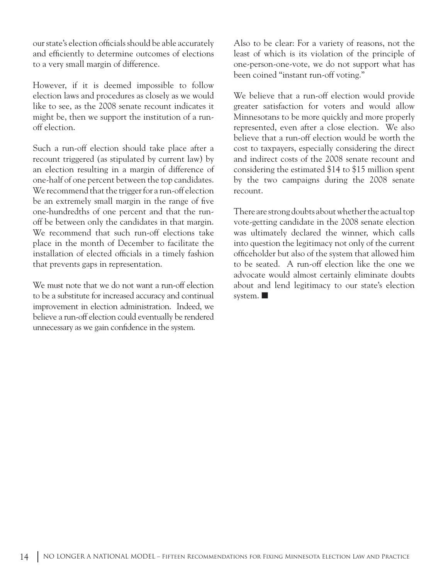our state's election officials should be able accurately and efficiently to determine outcomes of elections to a very small margin of difference.

However, if it is deemed impossible to follow election laws and procedures as closely as we would like to see, as the 2008 senate recount indicates it might be, then we support the institution of a runoff election.

Such a run-off election should take place after a recount triggered (as stipulated by current law) by an election resulting in a margin of difference of one-half of one percent between the top candidates. We recommend that the trigger for a run-off election be an extremely small margin in the range of five one-hundredths of one percent and that the runoff be between only the candidates in that margin. We recommend that such run-off elections take place in the month of December to facilitate the installation of elected officials in a timely fashion that prevents gaps in representation.

We must note that we do not want a run-off election to be a substitute for increased accuracy and continual improvement in election administration. Indeed, we believe a run-off election could eventually be rendered unnecessary as we gain confidence in the system.

Also to be clear: For a variety of reasons, not the least of which is its violation of the principle of one-person-one-vote, we do not support what has been coined "instant run-off voting."

We believe that a run-off election would provide greater satisfaction for voters and would allow Minnesotans to be more quickly and more properly represented, even after a close election. We also believe that a run-off election would be worth the cost to taxpayers, especially considering the direct and indirect costs of the 2008 senate recount and considering the estimated \$14 to \$15 million spent by the two campaigns during the 2008 senate recount.

There are strong doubts about whether the actual top vote-getting candidate in the 2008 senate election was ultimately declared the winner, which calls into question the legitimacy not only of the current officeholder but also of the system that allowed him to be seated. A run-off election like the one we advocate would almost certainly eliminate doubts about and lend legitimacy to our state's election system.  $\blacksquare$